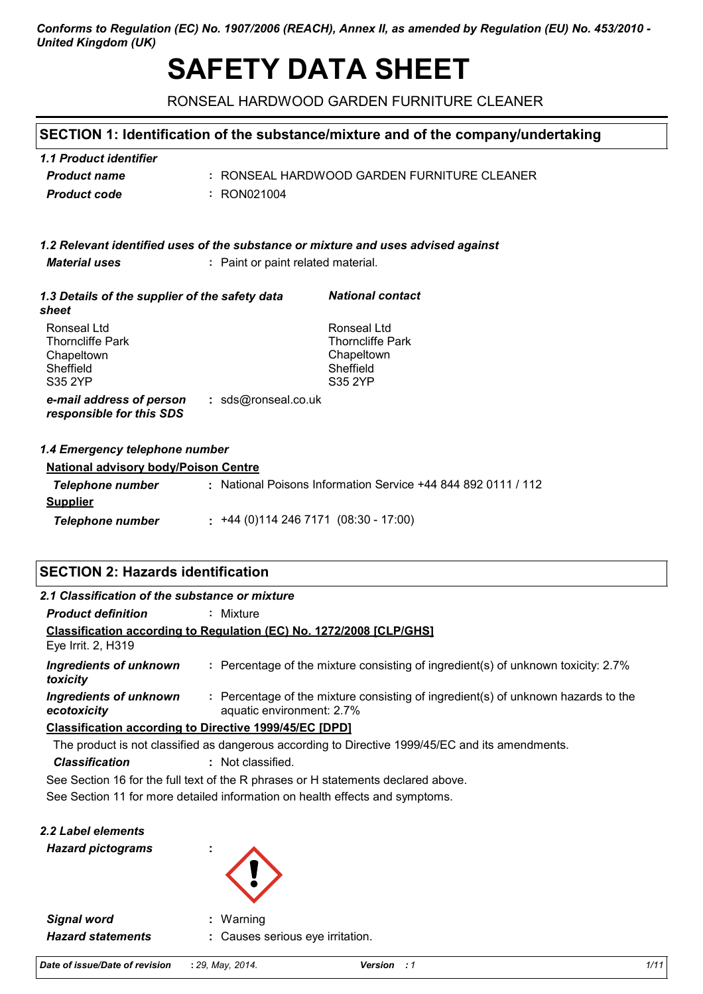## *Conforms to Regulation (EC) No. 1907/2006 (REACH), Annex II, as amended by Regulation (EU) No. 453/2010 - United Kingdom (UK)*

# **SAFETY DATA SHEET**

RONSEAL HARDWOOD GARDEN FURNITURE CLEANER

# **SECTION 1: Identification of the substance/mixture and of the company/undertaking**

| 1.1 Product identifier |                                             |
|------------------------|---------------------------------------------|
| <b>Product name</b>    | : RONSEAL HARDWOOD GARDEN FURNITURE CLEANER |
| <b>Product code</b>    | : RON021004                                 |

|                      | 1.2 Relevant identified uses of the substance or mixture and uses advised against |
|----------------------|-----------------------------------------------------------------------------------|
| <i>Material uses</i> | : Paint or paint related material.                                                |

| 1.3 Details of the supplier of the safety data<br>sheet                      | <b>National contact</b>                                                      |
|------------------------------------------------------------------------------|------------------------------------------------------------------------------|
| Ronseal Ltd<br><b>Thorncliffe Park</b><br>Chapeltown<br>Sheffield<br>S35 2YP | Ronseal Ltd<br><b>Thorncliffe Park</b><br>Chapeltown<br>Sheffield<br>S35 2YP |
| : sds@ronseal.co.uk<br>e-mail address of person<br>responsible for this SDS  |                                                                              |

## *1.4 Emergency telephone number*

| <b>National advisory body/Poison Centre</b> |  |                                                               |  |  |
|---------------------------------------------|--|---------------------------------------------------------------|--|--|
| Telephone number                            |  | : National Poisons Information Service +44 844 892 0111 / 112 |  |  |
| <b>Supplier</b>                             |  |                                                               |  |  |
| Telephone number                            |  | $: +44(0)1142467171(08:30 - 17:00)$                           |  |  |

# **SECTION 2: Hazards identification**

| 2.1 Classification of the substance or mixture                                                   |                                                                                                                |  |  |  |  |
|--------------------------------------------------------------------------------------------------|----------------------------------------------------------------------------------------------------------------|--|--|--|--|
| <b>Product definition</b>                                                                        | : Mixture                                                                                                      |  |  |  |  |
| Classification according to Regulation (EC) No. 1272/2008 [CLP/GHS]<br>Eye Irrit. 2, H319        |                                                                                                                |  |  |  |  |
| Ingredients of unknown<br>toxicity                                                               | : Percentage of the mixture consisting of ingredient(s) of unknown toxicity: 2.7%                              |  |  |  |  |
| Ingredients of unknown<br>ecotoxicity                                                            | : Percentage of the mixture consisting of ingredient(s) of unknown hazards to the<br>aquatic environment: 2.7% |  |  |  |  |
| <b>Classification according to Directive 1999/45/EC [DPD]</b>                                    |                                                                                                                |  |  |  |  |
| The product is not classified as dangerous according to Directive 1999/45/EC and its amendments. |                                                                                                                |  |  |  |  |
| <b>Classification</b>                                                                            | : Not classified.                                                                                              |  |  |  |  |
| See Section 16 for the full text of the R phrases or H statements declared above.                |                                                                                                                |  |  |  |  |
|                                                                                                  | See Section 11 for more detailed information on health effects and symptoms.                                   |  |  |  |  |

| 2.2 Label elements |  |
|--------------------|--|
|--------------------|--|

*Hazard pictograms* **:**



| <b>Signal word</b>       | : Warning                        |
|--------------------------|----------------------------------|
| <b>Hazard statements</b> | : Causes serious eye irritation. |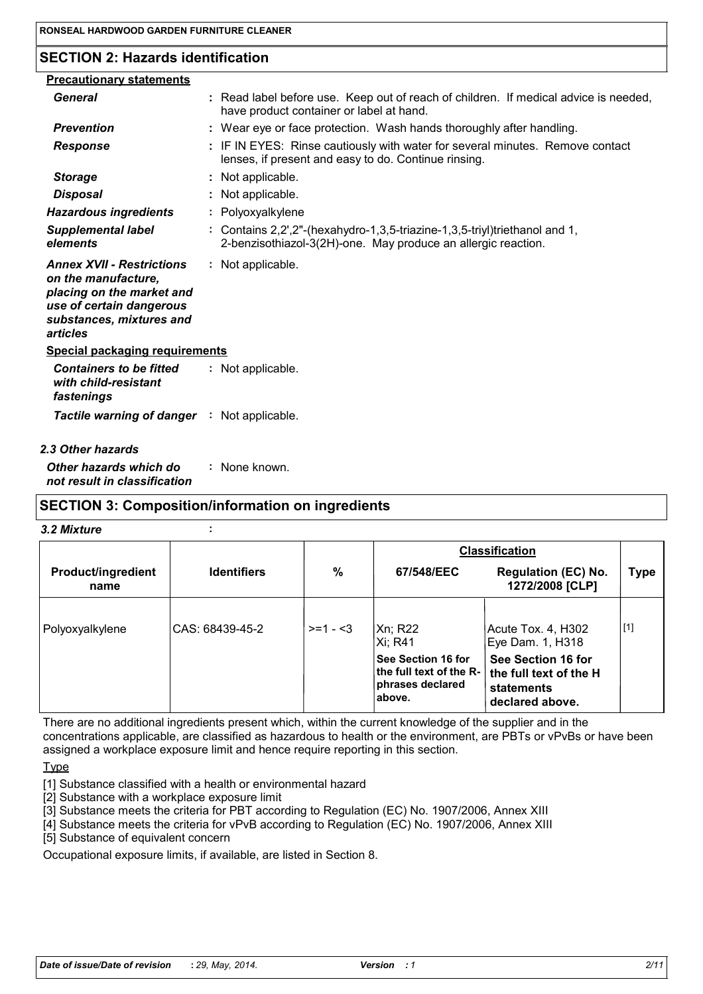# **SECTION 2: Hazards identification**

| <b>Precautionary statements</b>                                                                                                                          |                                                                                                                                                 |
|----------------------------------------------------------------------------------------------------------------------------------------------------------|-------------------------------------------------------------------------------------------------------------------------------------------------|
| General                                                                                                                                                  | : Read label before use. Keep out of reach of children. If medical advice is needed,<br>have product container or label at hand.                |
| <b>Prevention</b>                                                                                                                                        | : Wear eye or face protection. Wash hands thoroughly after handling.                                                                            |
| <b>Response</b>                                                                                                                                          | : IF IN EYES: Rinse cautiously with water for several minutes. Remove contact<br>lenses, if present and easy to do. Continue rinsing.           |
| <b>Storage</b>                                                                                                                                           | : Not applicable.                                                                                                                               |
| <b>Disposal</b>                                                                                                                                          | : Not applicable.                                                                                                                               |
| <b>Hazardous ingredients</b>                                                                                                                             | : Polyoxyalkylene                                                                                                                               |
| <b>Supplemental label</b><br>elements                                                                                                                    | : Contains $2,2',2''$ -(hexahydro-1,3,5-triazine-1,3,5-triyl)triethanol and 1,<br>2-benzisothiazol-3(2H)-one. May produce an allergic reaction. |
| <b>Annex XVII - Restrictions</b><br>on the manufacture,<br>placing on the market and<br>use of certain dangerous<br>substances, mixtures and<br>articles | : Not applicable.                                                                                                                               |
| <b>Special packaging requirements</b>                                                                                                                    |                                                                                                                                                 |
| <b>Containers to be fitted</b><br>with child-resistant<br>fastenings                                                                                     | : Not applicable.                                                                                                                               |
| Tactile warning of danger : Not applicable.                                                                                                              |                                                                                                                                                 |
| 2.3 Other hazards                                                                                                                                        |                                                                                                                                                 |

*Other hazards which do* **:** *not result in classification* : None known.

## **SECTION 3: Composition/information on ingredients**

#### *3.2 Mixture* **:**

|                                   |                    |           | <b>Classification</b>                                                                    |                                                                                      |       |
|-----------------------------------|--------------------|-----------|------------------------------------------------------------------------------------------|--------------------------------------------------------------------------------------|-------|
| <b>Product/ingredient</b><br>name | <b>Identifiers</b> | %         | 67/548/EEC                                                                               | <b>Regulation (EC) No.</b><br>1272/2008 [CLP]                                        | Type  |
| Polyoxyalkylene                   | CAS: 68439-45-2    | $>=1 - 3$ | Xn; R22<br>Xi; R41                                                                       | Acute Tox. 4, H302<br>Eye Dam. 1, H318                                               | $[1]$ |
|                                   |                    |           | <b>See Section 16 for</b><br>the full text of the R- $\,$<br>phrases declared<br>∣above. | See Section 16 for<br>the full text of the H<br><b>statements</b><br>declared above. |       |

There are no additional ingredients present which, within the current knowledge of the supplier and in the concentrations applicable, are classified as hazardous to health or the environment, are PBTs or vPvBs or have been assigned a workplace exposure limit and hence require reporting in this section.

**Type** 

[1] Substance classified with a health or environmental hazard

[2] Substance with a workplace exposure limit

[3] Substance meets the criteria for PBT according to Regulation (EC) No. 1907/2006, Annex XIII

[4] Substance meets the criteria for vPvB according to Regulation (EC) No. 1907/2006, Annex XIII

[5] Substance of equivalent concern

Occupational exposure limits, if available, are listed in Section 8.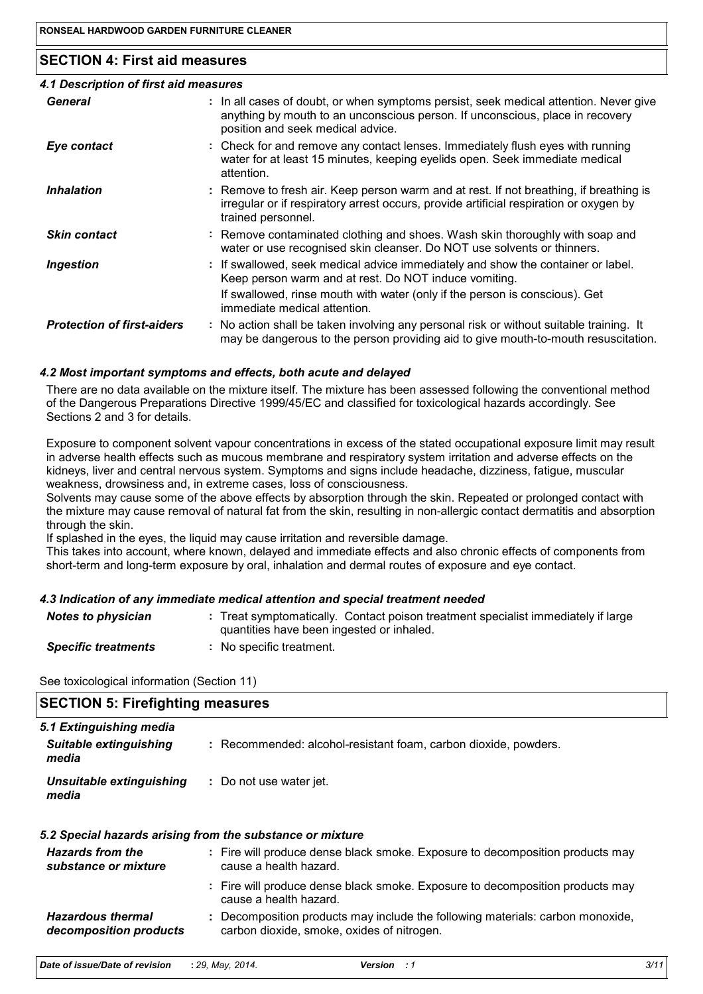# **SECTION 4: First aid measures**

| 4.1 Description of first aid measures |                                                                                                                                                                                                             |
|---------------------------------------|-------------------------------------------------------------------------------------------------------------------------------------------------------------------------------------------------------------|
| General                               | : In all cases of doubt, or when symptoms persist, seek medical attention. Never give<br>anything by mouth to an unconscious person. If unconscious, place in recovery<br>position and seek medical advice. |
| Eye contact                           | : Check for and remove any contact lenses. Immediately flush eyes with running<br>water for at least 15 minutes, keeping eyelids open. Seek immediate medical<br>attention.                                 |
| <i><b>Inhalation</b></i>              | : Remove to fresh air. Keep person warm and at rest. If not breathing, if breathing is<br>irregular or if respiratory arrest occurs, provide artificial respiration or oxygen by<br>trained personnel.      |
| <b>Skin contact</b>                   | : Remove contaminated clothing and shoes. Wash skin thoroughly with soap and<br>water or use recognised skin cleanser. Do NOT use solvents or thinners.                                                     |
| <b>Ingestion</b>                      | : If swallowed, seek medical advice immediately and show the container or label.<br>Keep person warm and at rest. Do NOT induce vomiting.                                                                   |
|                                       | If swallowed, rinse mouth with water (only if the person is conscious). Get<br>immediate medical attention.                                                                                                 |
| <b>Protection of first-aiders</b>     | : No action shall be taken involving any personal risk or without suitable training. It<br>may be dangerous to the person providing aid to give mouth-to-mouth resuscitation.                               |
|                                       |                                                                                                                                                                                                             |

# *4.2 Most important symptoms and effects, both acute and delayed*

There are no data available on the mixture itself. The mixture has been assessed following the conventional method of the Dangerous Preparations Directive 1999/45/EC and classified for toxicological hazards accordingly. See Sections 2 and 3 for details.

Exposure to component solvent vapour concentrations in excess of the stated occupational exposure limit may result in adverse health effects such as mucous membrane and respiratory system irritation and adverse effects on the kidneys, liver and central nervous system. Symptoms and signs include headache, dizziness, fatigue, muscular weakness, drowsiness and, in extreme cases, loss of consciousness.

Solvents may cause some of the above effects by absorption through the skin. Repeated or prolonged contact with the mixture may cause removal of natural fat from the skin, resulting in non-allergic contact dermatitis and absorption through the skin.

If splashed in the eyes, the liquid may cause irritation and reversible damage.

This takes into account, where known, delayed and immediate effects and also chronic effects of components from short-term and long-term exposure by oral, inhalation and dermal routes of exposure and eye contact.

## *4.3 Indication of any immediate medical attention and special treatment needed*

| <b>Notes to physician</b>  | Treat symptomatically. Contact poison treatment specialist immediately if large<br>quantities have been ingested or inhaled. |
|----------------------------|------------------------------------------------------------------------------------------------------------------------------|
| <b>Specific treatments</b> | No specific treatment.                                                                                                       |

See toxicological information (Section 11)

| <b>SECTION 5: Firefighting measures</b>                                                                                      |  |  |  |  |
|------------------------------------------------------------------------------------------------------------------------------|--|--|--|--|
|                                                                                                                              |  |  |  |  |
| : Recommended: alcohol-resistant foam, carbon dioxide, powders.                                                              |  |  |  |  |
| : Do not use water jet.                                                                                                      |  |  |  |  |
| 5.2 Special hazards arising from the substance or mixture                                                                    |  |  |  |  |
| : Fire will produce dense black smoke. Exposure to decomposition products may<br>cause a health hazard.                      |  |  |  |  |
| : Fire will produce dense black smoke. Exposure to decomposition products may<br>cause a health hazard.                      |  |  |  |  |
| : Decomposition products may include the following materials: carbon monoxide,<br>carbon dioxide, smoke, oxides of nitrogen. |  |  |  |  |
|                                                                                                                              |  |  |  |  |

| Date of issue/Date of revision | : 29. Mav. 2014. | Version | 3/11 |
|--------------------------------|------------------|---------|------|
|--------------------------------|------------------|---------|------|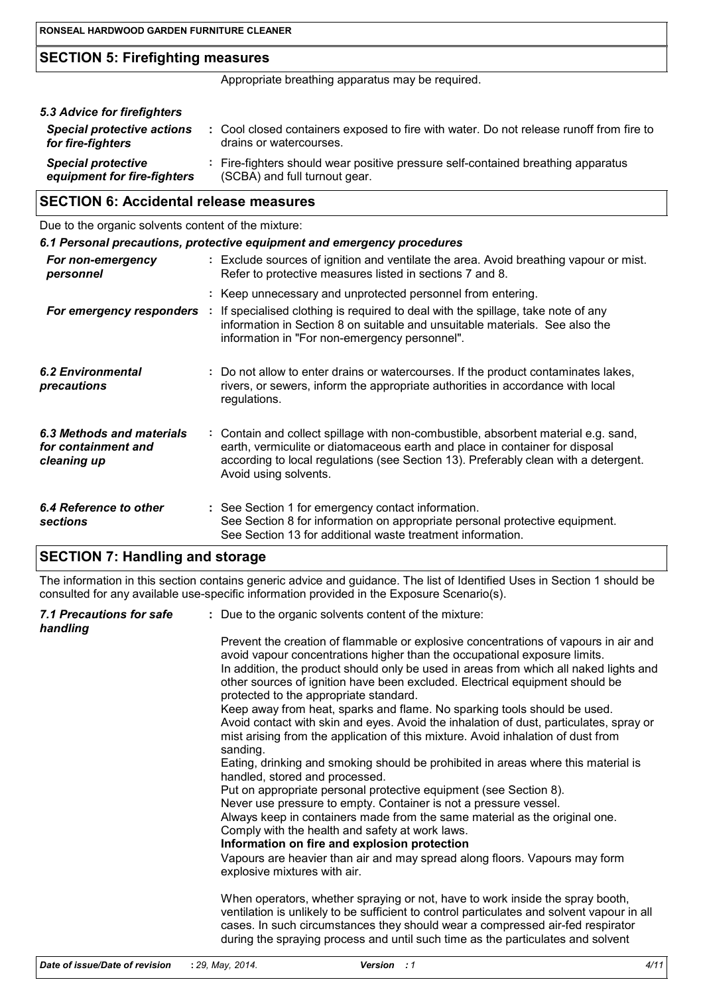# **SECTION 5: Firefighting measures**

Appropriate breathing apparatus may be required.

| 5.3 Advice for firefighters                              |                                                                                                                    |
|----------------------------------------------------------|--------------------------------------------------------------------------------------------------------------------|
| <b>Special protective actions</b><br>for fire-fighters   | : Cool closed containers exposed to fire with water. Do not release runoff from fire to<br>drains or watercourses. |
| <b>Special protective</b><br>equipment for fire-fighters | : Fire-fighters should wear positive pressure self-contained breathing apparatus<br>(SCBA) and full turnout gear.  |

# **SECTION 6: Accidental release measures**

Due to the organic solvents content of the mixture:

|                                                                 |    | 6.1 Personal precautions, protective equipment and emergency procedures                                                                                                                                                                                                            |
|-----------------------------------------------------------------|----|------------------------------------------------------------------------------------------------------------------------------------------------------------------------------------------------------------------------------------------------------------------------------------|
| For non-emergency<br>personnel                                  |    | : Exclude sources of ignition and ventilate the area. Avoid breathing vapour or mist.<br>Refer to protective measures listed in sections 7 and 8.                                                                                                                                  |
|                                                                 |    | : Keep unnecessary and unprotected personnel from entering.                                                                                                                                                                                                                        |
| For emergency responders                                        | ÷. | If specialised clothing is required to deal with the spillage, take note of any<br>information in Section 8 on suitable and unsuitable materials. See also the<br>information in "For non-emergency personnel".                                                                    |
| 6.2 Environmental<br>precautions                                |    | : Do not allow to enter drains or watercourses. If the product contaminates lakes,<br>rivers, or sewers, inform the appropriate authorities in accordance with local<br>regulations.                                                                                               |
| 6.3 Methods and materials<br>for containment and<br>cleaning up |    | : Contain and collect spillage with non-combustible, absorbent material e.g. sand,<br>earth, vermiculite or diatomaceous earth and place in container for disposal<br>according to local regulations (see Section 13). Preferably clean with a detergent.<br>Avoid using solvents. |
| 6.4 Reference to other<br>sections                              |    | : See Section 1 for emergency contact information.<br>See Section 8 for information on appropriate personal protective equipment.<br>See Section 13 for additional waste treatment information.                                                                                    |

# **SECTION 7: Handling and storage**

The information in this section contains generic advice and guidance. The list of Identified Uses in Section 1 should be consulted for any available use-specific information provided in the Exposure Scenario(s).

| 7.1 Precautions for safe<br>handling | : Due to the organic solvents content of the mixture:                                                                                                                                                                                                                                                                                                                               |
|--------------------------------------|-------------------------------------------------------------------------------------------------------------------------------------------------------------------------------------------------------------------------------------------------------------------------------------------------------------------------------------------------------------------------------------|
|                                      | Prevent the creation of flammable or explosive concentrations of vapours in air and<br>avoid vapour concentrations higher than the occupational exposure limits.<br>In addition, the product should only be used in areas from which all naked lights and<br>other sources of ignition have been excluded. Electrical equipment should be<br>protected to the appropriate standard. |
|                                      | Keep away from heat, sparks and flame. No sparking tools should be used.<br>Avoid contact with skin and eyes. Avoid the inhalation of dust, particulates, spray or<br>mist arising from the application of this mixture. Avoid inhalation of dust from<br>sanding.                                                                                                                  |
|                                      | Eating, drinking and smoking should be prohibited in areas where this material is<br>handled, stored and processed.                                                                                                                                                                                                                                                                 |
|                                      | Put on appropriate personal protective equipment (see Section 8).<br>Never use pressure to empty. Container is not a pressure vessel.                                                                                                                                                                                                                                               |
|                                      | Always keep in containers made from the same material as the original one.<br>Comply with the health and safety at work laws.<br>Information on fire and explosion protection                                                                                                                                                                                                       |
|                                      | Vapours are heavier than air and may spread along floors. Vapours may form<br>explosive mixtures with air.                                                                                                                                                                                                                                                                          |
|                                      | When operators, whether spraying or not, have to work inside the spray booth,<br>ventilation is unlikely to be sufficient to control particulates and solvent vapour in all<br>cases. In such circumstances they should wear a compressed air-fed respirator<br>during the spraying process and until such time as the particulates and solvent                                     |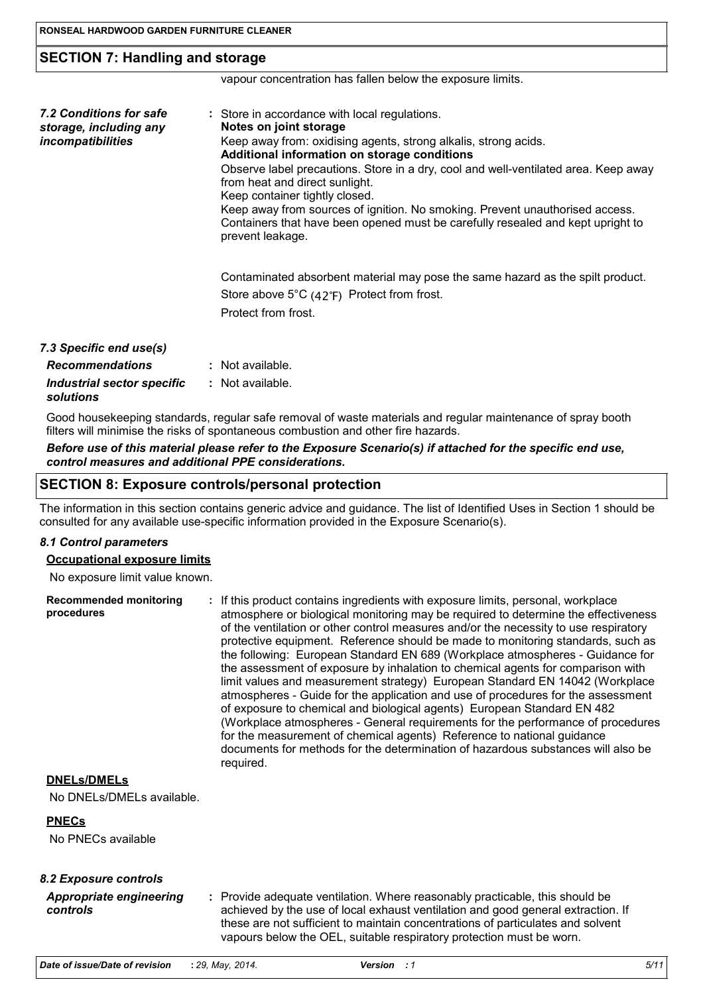# **SECTION 7: Handling and storage**

vapour concentration has fallen below the exposure limits.

| 7.2 Conditions for safe<br>storage, including any<br>incompatibilities | : Store in accordance with local regulations.<br>Notes on joint storage<br>Keep away from: oxidising agents, strong alkalis, strong acids.<br>Additional information on storage conditions<br>Observe label precautions. Store in a dry, cool and well-ventilated area. Keep away<br>from heat and direct sunlight.<br>Keep container tightly closed.<br>Keep away from sources of ignition. No smoking. Prevent unauthorised access.<br>Containers that have been opened must be carefully resealed and kept upright to<br>prevent leakage. |
|------------------------------------------------------------------------|----------------------------------------------------------------------------------------------------------------------------------------------------------------------------------------------------------------------------------------------------------------------------------------------------------------------------------------------------------------------------------------------------------------------------------------------------------------------------------------------------------------------------------------------|
|                                                                        | Contaminated absorbent material may pose the same hazard as the spilt product.<br>Store above $5^{\circ}C$ (42 $^{\circ}F$ ) Protect from frost.<br>Protect from frost.                                                                                                                                                                                                                                                                                                                                                                      |
| 7.3 Specific end use(s)                                                |                                                                                                                                                                                                                                                                                                                                                                                                                                                                                                                                              |

| <b>Recommendations</b>                  | : Not available. |
|-----------------------------------------|------------------|
| Industrial sector specific<br>solutions | : Not available. |

Good housekeeping standards, regular safe removal of waste materials and regular maintenance of spray booth filters will minimise the risks of spontaneous combustion and other fire hazards.

#### *Before use of this material please refer to the Exposure Scenario(s) if attached for the specific end use, control measures and additional PPE considerations.*

## **SECTION 8: Exposure controls/personal protection**

The information in this section contains generic advice and guidance. The list of Identified Uses in Section 1 should be consulted for any available use-specific information provided in the Exposure Scenario(s).

#### *8.1 Control parameters*

#### **Occupational exposure limits**

No exposure limit value known.

| <b>Recommended monitoring</b><br>procedures | : If this product contains ingredients with exposure limits, personal, workplace<br>atmosphere or biological monitoring may be required to determine the effectiveness<br>of the ventilation or other control measures and/or the necessity to use respiratory<br>protective equipment. Reference should be made to monitoring standards, such as<br>the following: European Standard EN 689 (Workplace atmospheres - Guidance for<br>the assessment of exposure by inhalation to chemical agents for comparison with<br>limit values and measurement strategy) European Standard EN 14042 (Workplace<br>atmospheres - Guide for the application and use of procedures for the assessment<br>of exposure to chemical and biological agents) European Standard EN 482<br>(Workplace atmospheres - General requirements for the performance of procedures<br>for the measurement of chemical agents) Reference to national guidance<br>documents for methods for the determination of hazardous substances will also be |
|---------------------------------------------|-----------------------------------------------------------------------------------------------------------------------------------------------------------------------------------------------------------------------------------------------------------------------------------------------------------------------------------------------------------------------------------------------------------------------------------------------------------------------------------------------------------------------------------------------------------------------------------------------------------------------------------------------------------------------------------------------------------------------------------------------------------------------------------------------------------------------------------------------------------------------------------------------------------------------------------------------------------------------------------------------------------------------|
|                                             | required.                                                                                                                                                                                                                                                                                                                                                                                                                                                                                                                                                                                                                                                                                                                                                                                                                                                                                                                                                                                                             |

## **DNELs/DMELs**

No DNELs/DMELs available.

## **PNECs**

No PNECs available

| <b>Appropriate engineering</b> | : Provide adequate ventilation. Where reasonably practicable, this should be     |
|--------------------------------|----------------------------------------------------------------------------------|
| controls                       | achieved by the use of local exhaust ventilation and good general extraction. If |
|                                | these are not sufficient to maintain concentrations of particulates and solvent  |
|                                | vapours below the OEL, suitable respiratory protection must be worn.             |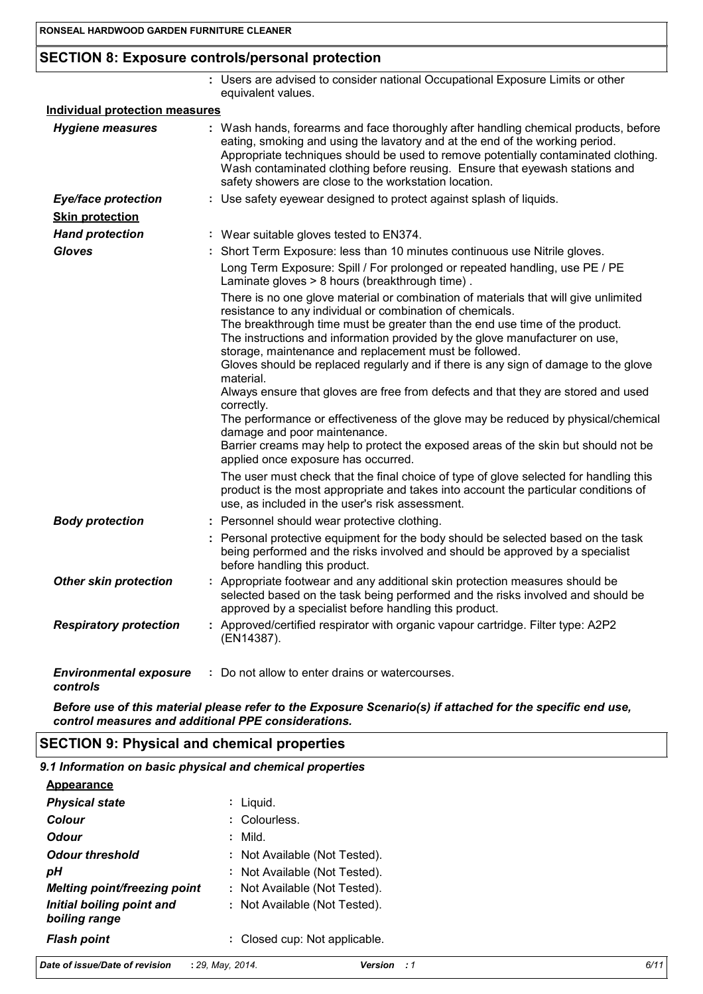# **SECTION 8: Exposure controls/personal protection**

|                                           | : Users are advised to consider national Occupational Exposure Limits or other<br>equivalent values.                                                                                                                                                                                                                                                                                                                                                                                                                                                                                                                                                                                                                                                                                                                                                                                                                                                                                                                                                                 |
|-------------------------------------------|----------------------------------------------------------------------------------------------------------------------------------------------------------------------------------------------------------------------------------------------------------------------------------------------------------------------------------------------------------------------------------------------------------------------------------------------------------------------------------------------------------------------------------------------------------------------------------------------------------------------------------------------------------------------------------------------------------------------------------------------------------------------------------------------------------------------------------------------------------------------------------------------------------------------------------------------------------------------------------------------------------------------------------------------------------------------|
| <b>Individual protection measures</b>     |                                                                                                                                                                                                                                                                                                                                                                                                                                                                                                                                                                                                                                                                                                                                                                                                                                                                                                                                                                                                                                                                      |
| <b>Hygiene measures</b>                   | : Wash hands, forearms and face thoroughly after handling chemical products, before<br>eating, smoking and using the lavatory and at the end of the working period.<br>Appropriate techniques should be used to remove potentially contaminated clothing.<br>Wash contaminated clothing before reusing. Ensure that eyewash stations and<br>safety showers are close to the workstation location.                                                                                                                                                                                                                                                                                                                                                                                                                                                                                                                                                                                                                                                                    |
| <b>Eye/face protection</b>                | : Use safety eyewear designed to protect against splash of liquids.                                                                                                                                                                                                                                                                                                                                                                                                                                                                                                                                                                                                                                                                                                                                                                                                                                                                                                                                                                                                  |
| <b>Skin protection</b>                    |                                                                                                                                                                                                                                                                                                                                                                                                                                                                                                                                                                                                                                                                                                                                                                                                                                                                                                                                                                                                                                                                      |
| <b>Hand protection</b>                    | : Wear suitable gloves tested to EN374.                                                                                                                                                                                                                                                                                                                                                                                                                                                                                                                                                                                                                                                                                                                                                                                                                                                                                                                                                                                                                              |
| <b>Gloves</b>                             | : Short Term Exposure: less than 10 minutes continuous use Nitrile gloves.                                                                                                                                                                                                                                                                                                                                                                                                                                                                                                                                                                                                                                                                                                                                                                                                                                                                                                                                                                                           |
|                                           | Long Term Exposure: Spill / For prolonged or repeated handling, use PE / PE<br>Laminate gloves > 8 hours (breakthrough time).                                                                                                                                                                                                                                                                                                                                                                                                                                                                                                                                                                                                                                                                                                                                                                                                                                                                                                                                        |
|                                           | There is no one glove material or combination of materials that will give unlimited<br>resistance to any individual or combination of chemicals.<br>The breakthrough time must be greater than the end use time of the product.<br>The instructions and information provided by the glove manufacturer on use,<br>storage, maintenance and replacement must be followed.<br>Gloves should be replaced regularly and if there is any sign of damage to the glove<br>material.<br>Always ensure that gloves are free from defects and that they are stored and used<br>correctly.<br>The performance or effectiveness of the glove may be reduced by physical/chemical<br>damage and poor maintenance.<br>Barrier creams may help to protect the exposed areas of the skin but should not be<br>applied once exposure has occurred.<br>The user must check that the final choice of type of glove selected for handling this<br>product is the most appropriate and takes into account the particular conditions of<br>use, as included in the user's risk assessment. |
| <b>Body protection</b>                    | : Personnel should wear protective clothing.                                                                                                                                                                                                                                                                                                                                                                                                                                                                                                                                                                                                                                                                                                                                                                                                                                                                                                                                                                                                                         |
|                                           | : Personal protective equipment for the body should be selected based on the task<br>being performed and the risks involved and should be approved by a specialist<br>before handling this product.                                                                                                                                                                                                                                                                                                                                                                                                                                                                                                                                                                                                                                                                                                                                                                                                                                                                  |
| <b>Other skin protection</b>              | : Appropriate footwear and any additional skin protection measures should be<br>selected based on the task being performed and the risks involved and should be<br>approved by a specialist before handling this product.                                                                                                                                                                                                                                                                                                                                                                                                                                                                                                                                                                                                                                                                                                                                                                                                                                            |
| <b>Respiratory protection</b>             | : Approved/certified respirator with organic vapour cartridge. Filter type: A2P2<br>(EN14387).                                                                                                                                                                                                                                                                                                                                                                                                                                                                                                                                                                                                                                                                                                                                                                                                                                                                                                                                                                       |
| <b>Environmental exposure</b><br>controls | : Do not allow to enter drains or watercourses.                                                                                                                                                                                                                                                                                                                                                                                                                                                                                                                                                                                                                                                                                                                                                                                                                                                                                                                                                                                                                      |

*Before use of this material please refer to the Exposure Scenario(s) if attached for the specific end use, control measures and additional PPE considerations.*

## **SECTION 9: Physical and chemical properties**

| 9.1 Information on basic physical and chemical properties |                               |  |
|-----------------------------------------------------------|-------------------------------|--|
| <b>Appearance</b>                                         |                               |  |
| <b>Physical state</b>                                     | : Liguid.                     |  |
| <b>Colour</b>                                             | : Colourless.                 |  |
| <b>Odour</b>                                              | : Mild.                       |  |
| <b>Odour threshold</b>                                    | : Not Available (Not Tested). |  |
| рH                                                        | : Not Available (Not Tested). |  |
| Melting point/freezing point                              | : Not Available (Not Tested). |  |
| Initial boiling point and                                 | : Not Available (Not Tested). |  |

**Flash point Closed cup: Not applicable.** 

*boiling range*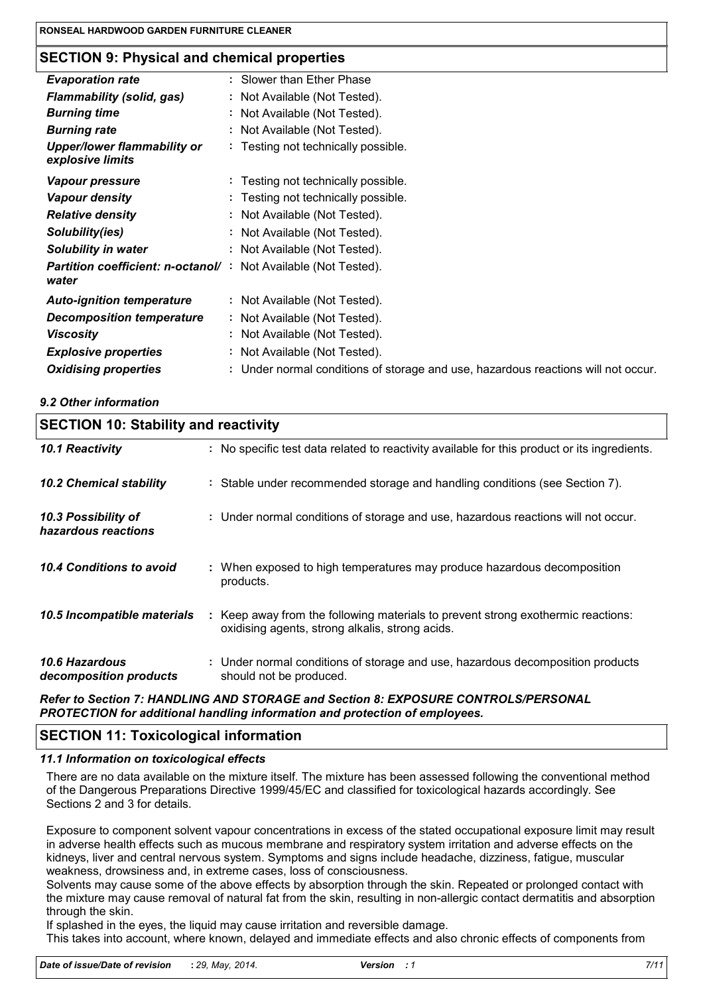# **SECTION 9: Physical and chemical properties**

| <b>Evaporation rate</b>                                | : Slower than Ether Phase                                                         |
|--------------------------------------------------------|-----------------------------------------------------------------------------------|
| <b>Flammability (solid, gas)</b>                       | : Not Available (Not Tested).                                                     |
| <b>Burning time</b>                                    | : Not Available (Not Tested).                                                     |
| <b>Burning rate</b>                                    | : Not Available (Not Tested).                                                     |
| <b>Upper/lower flammability or</b><br>explosive limits | : Testing not technically possible.                                               |
| <b>Vapour pressure</b>                                 | : Testing not technically possible.                                               |
| <b>Vapour density</b>                                  | : Testing not technically possible.                                               |
| <b>Relative density</b>                                | : Not Available (Not Tested).                                                     |
| Solubility(ies)                                        | : Not Available (Not Tested).                                                     |
| <b>Solubility in water</b>                             | : Not Available (Not Tested).                                                     |
| <b>Partition coefficient: n-octanol/:</b>              | Not Available (Not Tested).                                                       |
| water                                                  |                                                                                   |
| <b>Auto-ignition temperature</b>                       | : Not Available (Not Tested).                                                     |
| <b>Decomposition temperature</b>                       | : Not Available (Not Tested).                                                     |
| <b>Viscosity</b>                                       | : Not Available (Not Tested).                                                     |
| <b>Explosive properties</b>                            | : Not Available (Not Tested).                                                     |
| <b>Oxidising properties</b>                            | : Under normal conditions of storage and use, hazardous reactions will not occur. |
|                                                        |                                                                                   |

## *9.2 Other information*

| <b>SECTION 10: Stability and reactivity</b> |                                                                                                                                     |  |  |  |
|---------------------------------------------|-------------------------------------------------------------------------------------------------------------------------------------|--|--|--|
| 10.1 Reactivity                             | : No specific test data related to reactivity available for this product or its ingredients.                                        |  |  |  |
| <b>10.2 Chemical stability</b>              | : Stable under recommended storage and handling conditions (see Section 7).                                                         |  |  |  |
| 10.3 Possibility of<br>hazardous reactions  | : Under normal conditions of storage and use, hazardous reactions will not occur.                                                   |  |  |  |
| 10.4 Conditions to avoid                    | : When exposed to high temperatures may produce hazardous decomposition<br>products.                                                |  |  |  |
| 10.5 Incompatible materials                 | : Keep away from the following materials to prevent strong exothermic reactions:<br>oxidising agents, strong alkalis, strong acids. |  |  |  |
| 10.6 Hazardous<br>decomposition products    | : Under normal conditions of storage and use, hazardous decomposition products<br>should not be produced.                           |  |  |  |

#### *Refer to Section 7: HANDLING AND STORAGE and Section 8: EXPOSURE CONTROLS/PERSONAL PROTECTION for additional handling information and protection of employees.*

# **SECTION 11: Toxicological information**

#### *11.1 Information on toxicological effects*

There are no data available on the mixture itself. The mixture has been assessed following the conventional method of the Dangerous Preparations Directive 1999/45/EC and classified for toxicological hazards accordingly. See Sections 2 and 3 for details.

Exposure to component solvent vapour concentrations in excess of the stated occupational exposure limit may result in adverse health effects such as mucous membrane and respiratory system irritation and adverse effects on the kidneys, liver and central nervous system. Symptoms and signs include headache, dizziness, fatigue, muscular weakness, drowsiness and, in extreme cases, loss of consciousness.

Solvents may cause some of the above effects by absorption through the skin. Repeated or prolonged contact with the mixture may cause removal of natural fat from the skin, resulting in non-allergic contact dermatitis and absorption through the skin.

If splashed in the eyes, the liquid may cause irritation and reversible damage. This takes into account, where known, delayed and immediate effects and also chronic effects of components from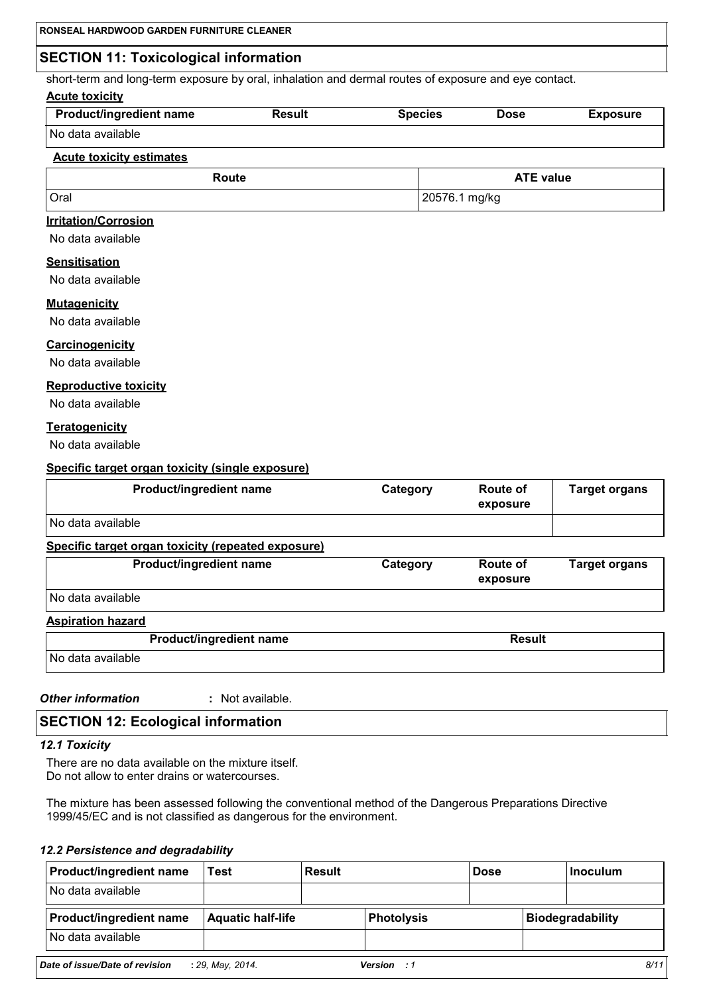# **SECTION 11: Toxicological information**

short-term and long-term exposure by oral, inhalation and dermal routes of exposure and eye contact.

#### **Acute toxicity**

| <b>Product/ingredient name</b> | Result | <b>Species</b> | <b>Dose</b> | <b>Exposure</b> |
|--------------------------------|--------|----------------|-------------|-----------------|
| No data available              |        |                |             |                 |

## **Acute toxicity estimates**

| Route | <b>ATE value</b> |
|-------|------------------|
| Oral  | 20576.1 mg/kg    |

## **Irritation/Corrosion**

No data available

## **Sensitisation**

No data available

#### **Mutagenicity**

No data available

#### **Carcinogenicity**

No data available

#### **Reproductive toxicity**

No data available

## **Teratogenicity**

No data available

#### **Specific target organ toxicity (single exposure)**

| Product/ingredient name                            | Category | <b>Route of</b><br>exposure | <b>Target organs</b> |
|----------------------------------------------------|----------|-----------------------------|----------------------|
| No data available                                  |          |                             |                      |
| Specific target organ toxicity (repeated exposure) |          |                             |                      |
| Product/ingredient name                            | Category | <b>Route of</b><br>exposure | <b>Target organs</b> |
| No data available                                  |          |                             |                      |
| <b>Aspiration hazard</b>                           |          |                             |                      |
| Product/ingredient name                            |          | <b>Result</b>               |                      |
| No data available                                  |          |                             |                      |

#### *Other information* **:**

: Not available.

## **SECTION 12: Ecological information**

#### *12.1 Toxicity*

There are no data available on the mixture itself. Do not allow to enter drains or watercourses.

The mixture has been assessed following the conventional method of the Dangerous Preparations Directive 1999/45/EC and is not classified as dangerous for the environment.

#### *12.2 Persistence and degradability*

| <b>Product/ingredient name</b> | Test                     | <b>Result</b> |                    | <b>Dose</b> | Inoculum                |
|--------------------------------|--------------------------|---------------|--------------------|-------------|-------------------------|
| No data available              |                          |               |                    |             |                         |
| <b>Product/ingredient name</b> | <b>Aquatic half-life</b> |               | <b>Photolysis</b>  |             | <b>Biodegradability</b> |
| No data available              |                          |               |                    |             |                         |
| Date of issue/Date of revision | : 29. May, 2014.         |               | <b>Version</b> : 1 |             | 8/11                    |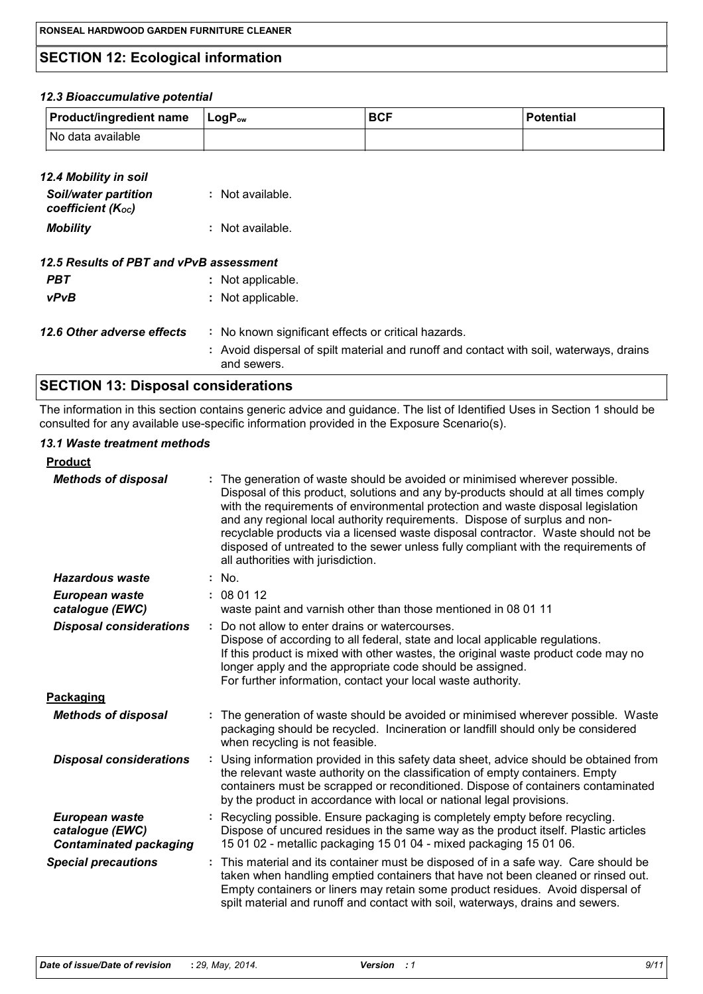# **SECTION 12: Ecological information**

#### *12.3 Bioaccumulative potential*

| <b>Product/ingredient name</b> | $\mathsf{LocP}_\mathsf{ow}$ | <b>BCF</b> | <b>Potential</b> |
|--------------------------------|-----------------------------|------------|------------------|
| No data available              |                             |            |                  |

| 12.4 Mobility in soil<br><b>Soil/water partition</b><br>coefficient ( $K_{\text{oc}}$ ) | : Not available.                                                                                       |
|-----------------------------------------------------------------------------------------|--------------------------------------------------------------------------------------------------------|
| <b>Mobility</b>                                                                         | : Not available.                                                                                       |
| 12.5 Results of PBT and vPvB assessment                                                 |                                                                                                        |
| <b>PBT</b>                                                                              | : Not applicable.                                                                                      |
| vPvB                                                                                    | : Not applicable.                                                                                      |
| 12.6 Other adverse effects                                                              | : No known significant effects or critical hazards.                                                    |
|                                                                                         | : Avoid dispersal of spilt material and runoff and contact with soil, waterways, drains<br>and sewers. |

# **SECTION 13: Disposal considerations**

The information in this section contains generic advice and guidance. The list of Identified Uses in Section 1 should be consulted for any available use-specific information provided in the Exposure Scenario(s).

#### *13.1 Waste treatment methods*

| <b>Product</b>                                                     |                                                                                                                                                                                                                                                                                                                                                                                                                                                                                                                                                    |  |
|--------------------------------------------------------------------|----------------------------------------------------------------------------------------------------------------------------------------------------------------------------------------------------------------------------------------------------------------------------------------------------------------------------------------------------------------------------------------------------------------------------------------------------------------------------------------------------------------------------------------------------|--|
| <b>Methods of disposal</b>                                         | The generation of waste should be avoided or minimised wherever possible.<br>Disposal of this product, solutions and any by-products should at all times comply<br>with the requirements of environmental protection and waste disposal legislation<br>and any regional local authority requirements. Dispose of surplus and non-<br>recyclable products via a licensed waste disposal contractor. Waste should not be<br>disposed of untreated to the sewer unless fully compliant with the requirements of<br>all authorities with jurisdiction. |  |
| <b>Hazardous waste</b>                                             | : No.                                                                                                                                                                                                                                                                                                                                                                                                                                                                                                                                              |  |
| European waste<br>catalogue (EWC)                                  | : 080112<br>waste paint and varnish other than those mentioned in 08 01 11                                                                                                                                                                                                                                                                                                                                                                                                                                                                         |  |
| <b>Disposal considerations</b>                                     | Do not allow to enter drains or watercourses.<br>Dispose of according to all federal, state and local applicable regulations.<br>If this product is mixed with other wastes, the original waste product code may no<br>longer apply and the appropriate code should be assigned.<br>For further information, contact your local waste authority.                                                                                                                                                                                                   |  |
| Packaging                                                          |                                                                                                                                                                                                                                                                                                                                                                                                                                                                                                                                                    |  |
| <b>Methods of disposal</b>                                         | The generation of waste should be avoided or minimised wherever possible. Waste<br>packaging should be recycled. Incineration or landfill should only be considered<br>when recycling is not feasible.                                                                                                                                                                                                                                                                                                                                             |  |
| <b>Disposal considerations</b>                                     | Using information provided in this safety data sheet, advice should be obtained from<br>÷.<br>the relevant waste authority on the classification of empty containers. Empty<br>containers must be scrapped or reconditioned. Dispose of containers contaminated<br>by the product in accordance with local or national legal provisions.                                                                                                                                                                                                           |  |
| European waste<br>catalogue (EWC)<br><b>Contaminated packaging</b> | Recycling possible. Ensure packaging is completely empty before recycling.<br>Dispose of uncured residues in the same way as the product itself. Plastic articles<br>15 01 02 - metallic packaging 15 01 04 - mixed packaging 15 01 06.                                                                                                                                                                                                                                                                                                            |  |
| <b>Special precautions</b>                                         | This material and its container must be disposed of in a safe way. Care should be<br>taken when handling emptied containers that have not been cleaned or rinsed out.<br>Empty containers or liners may retain some product residues. Avoid dispersal of<br>spilt material and runoff and contact with soil, waterways, drains and sewers.                                                                                                                                                                                                         |  |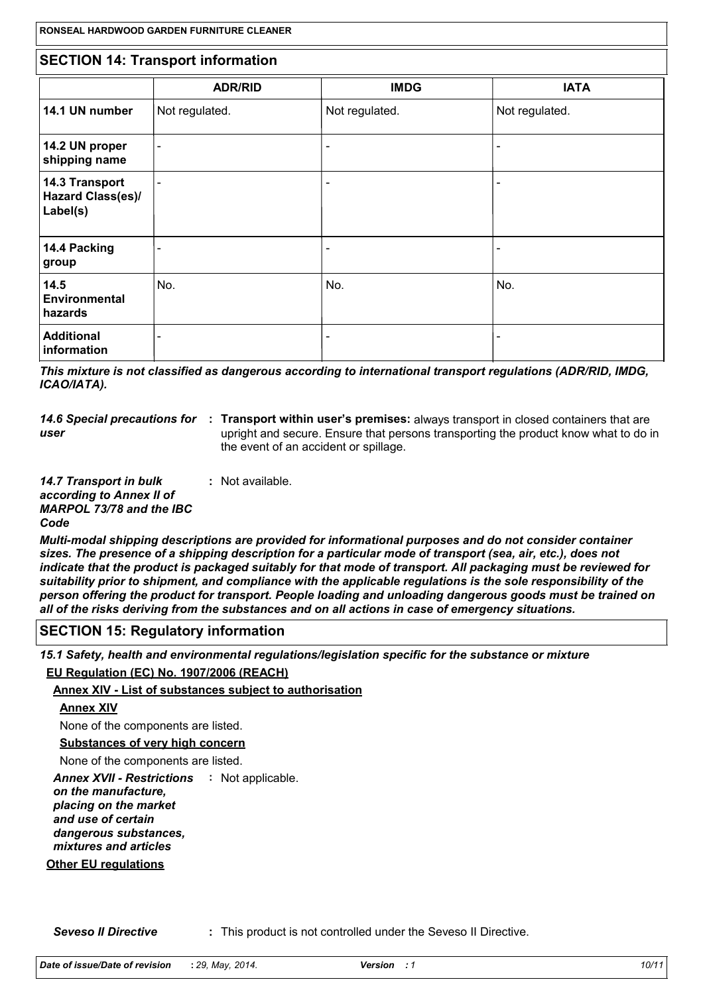|                                                        | RONSEAL HARDWOOD GARDEN FURNITURE CLEANER<br><b>SECTION 14: Transport information</b> |                |                |  |  |
|--------------------------------------------------------|---------------------------------------------------------------------------------------|----------------|----------------|--|--|
|                                                        |                                                                                       |                |                |  |  |
|                                                        | <b>ADR/RID</b>                                                                        | <b>IMDG</b>    | <b>IATA</b>    |  |  |
| 14.1 UN number                                         | Not regulated.                                                                        | Not regulated. | Not regulated. |  |  |
| 14.2 UN proper<br>shipping name                        | $\blacksquare$                                                                        |                |                |  |  |
| 14.3 Transport<br><b>Hazard Class(es)/</b><br>Label(s) | $\overline{\phantom{0}}$                                                              |                | -              |  |  |
| 14.4 Packing<br>group                                  |                                                                                       |                |                |  |  |
| 14.5<br><b>Environmental</b><br>hazards                | No.                                                                                   | No.            | No.            |  |  |
| <b>Additional</b><br>information                       |                                                                                       |                |                |  |  |

*This mixture is not classified as dangerous according to international transport regulations (ADR/RID, IMDG, ICAO/IATA).*

*user*

14.6 Special precautions for : Transport within user's premises: always transport in closed containers that are upright and secure. Ensure that persons transporting the product know what to do in the event of an accident or spillage.

*14.7 Transport in bulk according to Annex II of MARPOL 73/78 and the IBC Code* **:** Not available.

*Multi-modal shipping descriptions are provided for informational purposes and do not consider container sizes. The presence of a shipping description for a particular mode of transport (sea, air, etc.), does not indicate that the product is packaged suitably for that mode of transport. All packaging must be reviewed for suitability prior to shipment, and compliance with the applicable regulations is the sole responsibility of the person offering the product for transport. People loading and unloading dangerous goods must be trained on all of the risks deriving from the substances and on all actions in case of emergency situations.*

## **SECTION 15: Regulatory information**

*15.1 Safety, health and environmental regulations/legislation specific for the substance or mixture* **EU Regulation (EC) No. 1907/2006 (REACH)**

**Annex XIV - List of substances subject to authorisation**

## **Annex XIV**

None of the components are listed.

**Substances of very high concern**

None of the components are listed.

**Annex XVII - Restrictions : Not applicable.** 

*on the manufacture, placing on the market and use of certain dangerous substances, mixtures and articles*

**Other EU regulations**

**Seveso II Directive :** This product is not controlled under the Seveso II Directive.